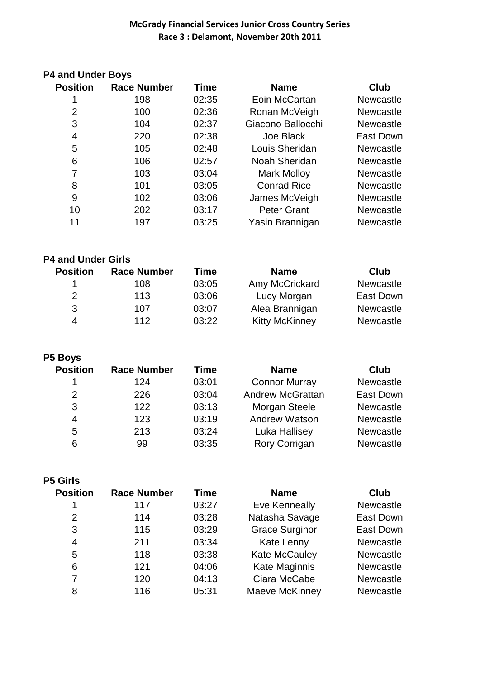### **P4 and Under Boys**

| <b>Position</b> | <b>Race Number</b> | Time  | <b>Name</b>        | Club             |
|-----------------|--------------------|-------|--------------------|------------------|
|                 | 198                | 02:35 | Eoin McCartan      | <b>Newcastle</b> |
| $\overline{2}$  | 100                | 02:36 | Ronan McVeigh      | <b>Newcastle</b> |
| 3               | 104                | 02:37 | Giacono Ballocchi  | <b>Newcastle</b> |
| 4               | 220                | 02:38 | Joe Black          | East Down        |
| 5               | 105                | 02:48 | Louis Sheridan     | <b>Newcastle</b> |
| 6               | 106                | 02:57 | Noah Sheridan      | <b>Newcastle</b> |
| 7               | 103                | 03:04 | <b>Mark Molloy</b> | <b>Newcastle</b> |
| 8               | 101                | 03:05 | <b>Conrad Rice</b> | <b>Newcastle</b> |
| 9               | 102                | 03:06 | James McVeigh      | <b>Newcastle</b> |
| 10              | 202                | 03:17 | <b>Peter Grant</b> | <b>Newcastle</b> |
| 11              | 197                | 03:25 | Yasin Brannigan    | <b>Newcastle</b> |

#### **P4 and Under Girls**

| <b>Position</b> | <b>Race Number</b> | Time  | <b>Name</b>           | Club             |
|-----------------|--------------------|-------|-----------------------|------------------|
|                 | 108                | 03:05 | Amy McCrickard        | <b>Newcastle</b> |
| $\mathcal{P}$   | 113                | 03:06 | Lucy Morgan           | East Down        |
| 3               | 107                | 03:07 | Alea Brannigan        | <b>Newcastle</b> |
| 4               | 112                | 03:22 | <b>Kitty McKinney</b> | <b>Newcastle</b> |

#### **P5 Boys**

| <b>Position</b> | <b>Race Number</b> | Time  | <b>Name</b>             | <b>Club</b>      |
|-----------------|--------------------|-------|-------------------------|------------------|
|                 | 124                | 03:01 | <b>Connor Murray</b>    | Newcastle        |
| 2               | 226                | 03:04 | <b>Andrew McGrattan</b> | East Down        |
| 3               | 122                | 03:13 | Morgan Steele           | Newcastle        |
| 4               | 123                | 03:19 | <b>Andrew Watson</b>    | <b>Newcastle</b> |
| 5               | 213                | 03:24 | Luka Hallisey           | <b>Newcastle</b> |
| 6               | 99                 | 03:35 | Rory Corrigan           | <b>Newcastle</b> |

#### **P5 Girls**

| <b>Position</b> | <b>Race Number</b> | <b>Time</b> | <b>Name</b>           | Club             |
|-----------------|--------------------|-------------|-----------------------|------------------|
| 1               | 117                | 03:27       | Eve Kenneally         | Newcastle        |
| 2               | 114                | 03:28       | Natasha Savage        | East Down        |
| 3               | 115                | 03:29       | <b>Grace Surginor</b> | East Down        |
| $\overline{4}$  | 211                | 03:34       | <b>Kate Lenny</b>     | Newcastle        |
| 5               | 118                | 03:38       | Kate McCauley         | Newcastle        |
| 6               | 121                | 04:06       | Kate Maginnis         | Newcastle        |
| 7               | 120                | 04:13       | Ciara McCabe          | Newcastle        |
| 8               | 116                | 05:31       | Maeve McKinney        | <b>Newcastle</b> |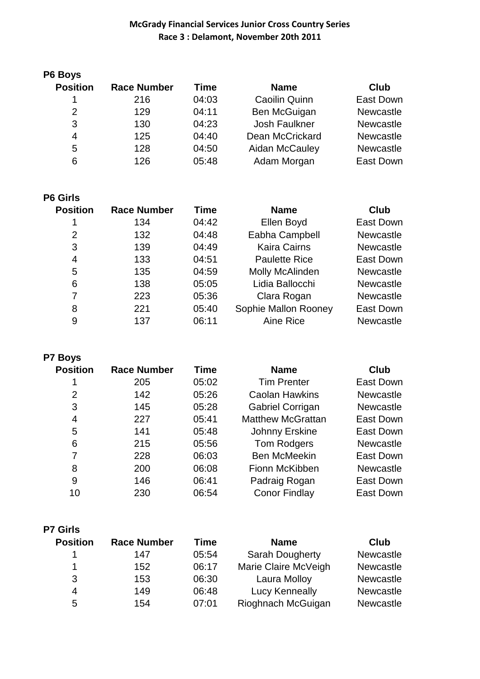| <b>Race Number</b> | Time  | <b>Name</b>            | Club             |
|--------------------|-------|------------------------|------------------|
| 216                | 04:03 | <b>Caoilin Quinn</b>   | East Down        |
| 129                | 04:11 | Ben McGuigan           | <b>Newcastle</b> |
| 130                | 04:23 | Josh Faulkner          | <b>Newcastle</b> |
| 125                | 04:40 | <b>Dean McCrickard</b> | <b>Newcastle</b> |
| 128                | 04:50 | Aidan McCauley         | <b>Newcastle</b> |
| 126                | 05:48 | Adam Morgan            | East Down        |
|                    |       |                        |                  |

| <b>Position</b> | <b>Race Number</b> | <b>Time</b> | <b>Name</b>          | Club             |
|-----------------|--------------------|-------------|----------------------|------------------|
|                 | 134                | 04:42       | Ellen Boyd           | East Down        |
| 2               | 132                | 04:48       | Eabha Campbell       | <b>Newcastle</b> |
| 3               | 139                | 04:49       | <b>Kaira Cairns</b>  | <b>Newcastle</b> |
| 4               | 133                | 04:51       | <b>Paulette Rice</b> | East Down        |
| 5               | 135                | 04:59       | Molly McAlinden      | <b>Newcastle</b> |
| 6               | 138                | 05:05       | Lidia Ballocchi      | <b>Newcastle</b> |
| 7               | 223                | 05:36       | Clara Rogan          | <b>Newcastle</b> |
| 8               | 221                | 05:40       | Sophie Mallon Rooney | East Down        |
| 9               | 137                | 06:11       | Aine Rice            | <b>Newcastle</b> |

**P7 Boys**

| <b>Position</b> | <b>Race Number</b> | Time  | <b>Name</b>              | <b>Club</b>      |
|-----------------|--------------------|-------|--------------------------|------------------|
|                 | 205                | 05:02 | <b>Tim Prenter</b>       | East Down        |
| 2               | 142                | 05:26 | <b>Caolan Hawkins</b>    | <b>Newcastle</b> |
| 3               | 145                | 05:28 | Gabriel Corrigan         | <b>Newcastle</b> |
| 4               | 227                | 05:41 | <b>Matthew McGrattan</b> | East Down        |
| 5               | 141                | 05:48 | Johnny Erskine           | East Down        |
| 6               | 215                | 05:56 | Tom Rodgers              | <b>Newcastle</b> |
| 7               | 228                | 06:03 | <b>Ben McMeekin</b>      | East Down        |
| 8               | 200                | 06:08 | Fionn McKibben           | <b>Newcastle</b> |
| 9               | 146                | 06:41 | Padraig Rogan            | East Down        |
| 10              | 230                | 06:54 | <b>Conor Findlay</b>     | East Down        |

|  | ls<br>Girl |
|--|------------|
|--|------------|

| <b>Position</b> | <b>Race Number</b> | <b>Time</b> | <b>Name</b>            | Club             |
|-----------------|--------------------|-------------|------------------------|------------------|
|                 | 147                | 05:54       | <b>Sarah Dougherty</b> | <b>Newcastle</b> |
|                 | 152                | 06:17       | Marie Claire McVeigh   | <b>Newcastle</b> |
| 3               | 153                | 06:30       | Laura Molloy           | <b>Newcastle</b> |
| 4               | 149                | 06:48       | <b>Lucy Kenneally</b>  | <b>Newcastle</b> |
| 5               | 154                | 07:01       | Rioghnach McGuigan     | <b>Newcastle</b> |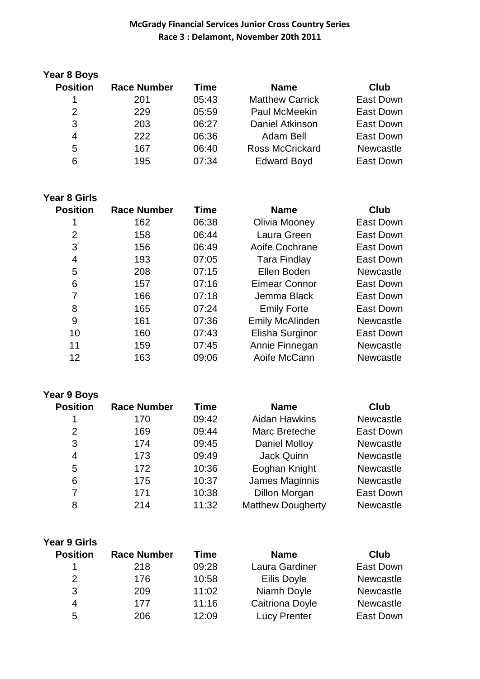| Year 8 Boys     |                    |       |                        |                  |
|-----------------|--------------------|-------|------------------------|------------------|
| <b>Position</b> | <b>Race Number</b> | Time  | <b>Name</b>            | Club             |
| 1               | 201                | 05:43 | <b>Matthew Carrick</b> | East Down        |
| 2               | 229                | 05:59 | <b>Paul McMeekin</b>   | East Down        |
| 3               | 203                | 06:27 | Daniel Atkinson        | East Down        |
| 4               | 222                | 06:36 | Adam Bell              | East Down        |
| 5               | 167                | 06:40 | <b>Ross McCrickard</b> | <b>Newcastle</b> |
| 6               | 195                | 07:34 | <b>Edward Boyd</b>     | East Down        |

|  | <b>Year 8 Girls</b> |  |
|--|---------------------|--|
|  |                     |  |

| <b>Race Number</b> | <b>Time</b> | <b>Name</b>            | <b>Club</b>      |
|--------------------|-------------|------------------------|------------------|
| 162                | 06:38       | Olivia Mooney          | East Down        |
| 158                | 06:44       | Laura Green            | East Down        |
| 156                | 06:49       | Aoife Cochrane         | East Down        |
| 193                | 07:05       | <b>Tara Findlay</b>    | East Down        |
| 208                | 07:15       | Ellen Boden            | <b>Newcastle</b> |
| 157                | 07:16       | Eimear Connor          | East Down        |
| 166                | 07:18       | Jemma Black            | East Down        |
| 165                | 07:24       | <b>Emily Forte</b>     | East Down        |
| 161                | 07:36       | <b>Emily McAlinden</b> | <b>Newcastle</b> |
| 160                | 07:43       | Elisha Surginor        | East Down        |
| 159                | 07:45       | Annie Finnegan         | <b>Newcastle</b> |
| 163                | 09:06       | Aoife McCann           | <b>Newcastle</b> |
|                    |             |                        |                  |

|  |  | Year 9 Boys |
|--|--|-------------|
|--|--|-------------|

| <b>Position</b> | <b>Race Number</b> | <b>Time</b> | <b>Name</b>              | Club             |
|-----------------|--------------------|-------------|--------------------------|------------------|
|                 | 170                | 09:42       | <b>Aidan Hawkins</b>     | Newcastle        |
| $\overline{2}$  | 169                | 09:44       | Marc Breteche            | <b>East Down</b> |
| 3               | 174                | 09:45       | <b>Daniel Molloy</b>     | <b>Newcastle</b> |
| 4               | 173                | 09:49       | Jack Quinn               | Newcastle        |
| 5               | 172                | 10:36       | Eoghan Knight            | Newcastle        |
| 6               | 175                | 10:37       | James Maginnis           | Newcastle        |
| 7               | 171                | 10:38       | <b>Dillon Morgan</b>     | <b>East Down</b> |
| 8               | 214                | 11:32       | <b>Matthew Dougherty</b> | Newcastle        |

| <b>Year 9 Girls</b><br><b>Position</b> | <b>Race Number</b> | Time  | <b>Name</b>         | Club             |
|----------------------------------------|--------------------|-------|---------------------|------------------|
| 1                                      | 218                | 09:28 | Laura Gardiner      | East Down        |
| 2                                      | 176                | 10:58 | Eilis Doyle         | Newcastle        |
| 3                                      | 209                | 11:02 | Niamh Doyle         | <b>Newcastle</b> |
| 4                                      | 177                | 11:16 | Caitriona Doyle     | <b>Newcastle</b> |
| 5                                      | 206                | 12:09 | <b>Lucy Prenter</b> | East Down        |